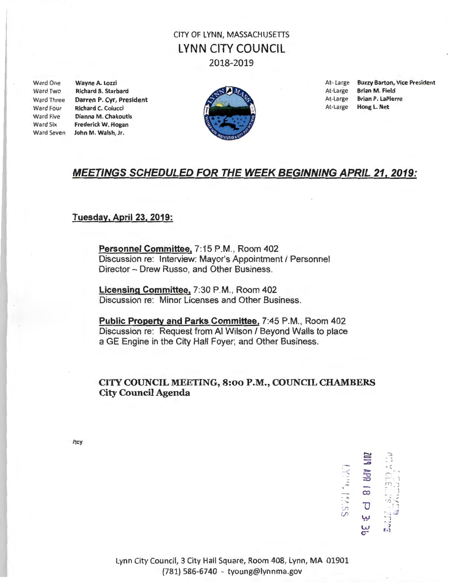# CITY OF LYNN, MASSACHUSETIS LYNN CITY COUNCIL 2018-2019

Ward Two Richard B. Starbard Richard C. Colucci Ward Five Dianna M. Chakoutis Ward Six Frederick W. Hogan Ward Seven John M. Walsh, Jr.



Ward One Wayne A. Lozzi At- Large Buzzy Barton, Vice President Ward Three **Darren P. Cyr, President At-Large Brian P. LaPierre** At-Large Brian P. LaPierre At-Large Brian P. LaPierre

## MEETINGS SCHEDULED FOR THE WEEK BEGINNING APRIL 21, 2019:

## Tuesday, April 23, 2019:

Personnel Committee, 7:15 P.M., Room 402 Discussion re: Interview: Mayor's Appointment / Personnel Director - Drew Russo, and Other Business.

Licensing Committee, 7:30 P.M., Room 402 Discussion re: Minor Licenses and Other Business.

Public Property and Parks Committee, 7:45 P.M., Room 402 Discussion re: Request from Al Wilson / Beyond Walls to place a GE Engine in the City Hall Foyer; and Other Business.

## CITY COUNCIL MEETING, 8:00 P.M., COUNCIL CHAMBERS City Council Agenda

/tcy

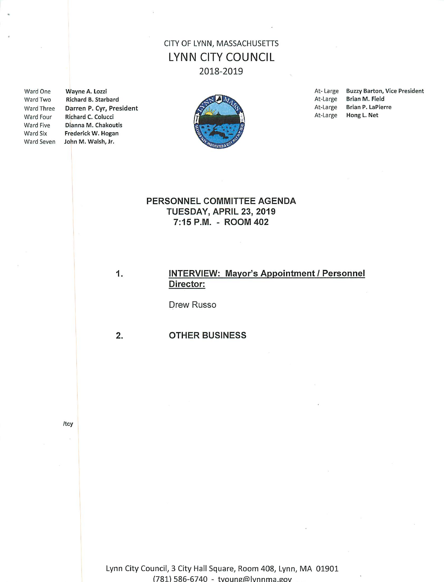## CITY OF LYNN, MASSACHUSETTS **LYNN CITY COUNCIL** 2018-2019

Ward One Ward Two Ward Three Ward Four Ward Five Ward Six

Wayne A. Lozzi Richard B. Starbard Darren P. Cyr, President Richard C. Colucci Dianna M. Chakoutis Frederick W. Hogan Ward Seven John M. Walsh, Jr.



At-Large Buzzy Barton, Vice President At-Large Brian M. Field **Brian P. LaPierre** At-Large At-Large Hong L. Net

## PERSONNEL COMMITTEE AGENDA TUESDAY, APRIL 23, 2019 7:15 P.M. - ROOM 402

## **INTERVIEW: Mayor's Appointment / Personnel** Director:

Drew Russo

 $2.$ 

1.

#### **OTHER BUSINESS**

/tcy

Lynn City Council, 3 City Hall Square, Room 408, Lynn, MA 01901 (781) 586-6740 - tyoung@lynnma.gov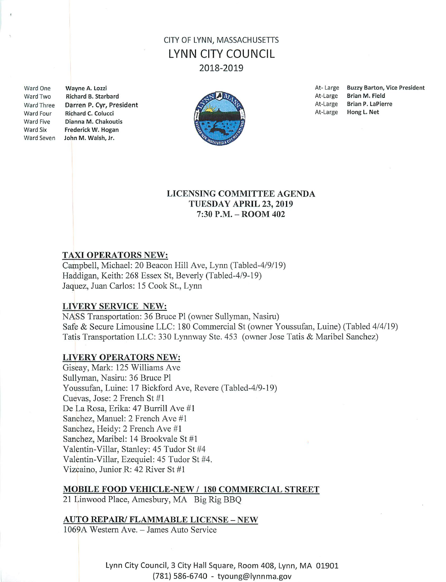# CITY OF LYNN, MASSACHUSETTS LYNN CITY COUNCIL 2018-2019

Ward One Ward Two Ward Three Ward Four **Ward Five** Ward Six

Wayne A. Lozzi Richard B. Starbard Darren P. Cyr, President Richard C. Colucci Dianna M. Chakoutis Frederick W. Hogan Ward Seven John M. Walsh, Jr.



At-Large Buzzy Barton, Vice President At-Large **Brian M. Field** At-Large Brian P. LaPierre At-Large Hong L. Net

### **LICENSING COMMITTEE AGENDA** TUESDAY APRIL 23, 2019 7:30 P.M. - ROOM 402

## **TAXI OPERATORS NEW:**

Campbell, Michael: 20 Beacon Hill Ave, Lynn (Tabled-4/9/19) Haddigan, Keith: 268 Essex St, Beverly (Tabled-4/9-19) Jaquez, Juan Carlos: 15 Cook St., Lynn

#### LIVERY SERVICE NEW:

NASS Transportation: 36 Bruce Pl (owner Sullyman, Nasiru) Safe & Secure Limousine LLC: 180 Commercial St (owner Youssufan, Luine) (Tabled 4/4/19) Tatis Transportation LLC: 330 Lynnway Ste. 453 (owner Jose Tatis & Maribel Sanchez)

#### LIVERY OPERATORS NEW:

Giseay, Mark: 125 Williams Ave Sullyman, Nasiru: 36 Bruce Pl Youssufan, Luine: 17 Bickford Ave, Revere (Tabled-4/9-19) Cuevas, Jose: 2 French St #1 De La Rosa, Erika: 47 Burrill Ave #1 Sanchez, Manuel: 2 French Ave #1 Sanchez, Heidy: 2 French Ave #1 Sanchez, Maribel: 14 Brookvale St #1 Valentin-Villar, Stanley: 45 Tudor St #4 Valentin-Villar, Ezequiel: 45 Tudor St #4. Vizcaino, Junior R: 42 River St #1

#### **MOBILE FOOD VEHICLE-NEW / 180 COMMERCIAL STREET**

21 Linwood Place, Amesbury, MA Big Rig BBQ

#### **AUTO REPAIR/ FLAMMABLE LICENSE - NEW**

1069A Western Ave. - James Auto Service

Lynn City Council, 3 City Hall Square, Room 408, Lynn, MA 01901 (781) 586-6740 - tyoung@lynnma.gov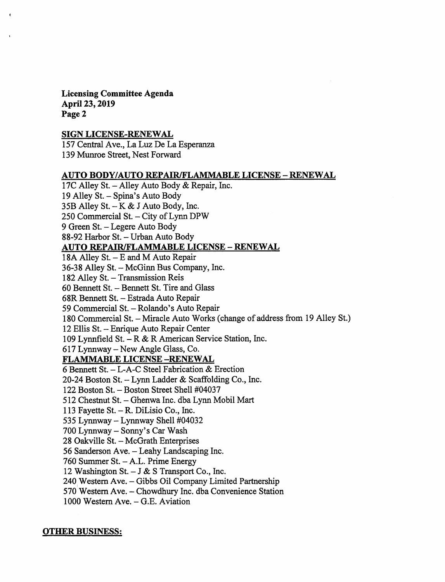**Licensing Committee Agenda** April 23, 2019 Page 2

### **SIGN LICENSE-RENEWAL**

157 Central Ave., La Luz De La Esperanza 139 Munroe Street, Nest Forward

#### AUTO BODY/AUTO REPAIR/FLAMMABLE LICENSE - RENEWAL

17C Alley St. - Alley Auto Body & Repair, Inc. 19 Alley St. - Spina's Auto Body 35B Alley St.  $-K & J$  Auto Body, Inc. 250 Commercial St. - City of Lynn DPW 9 Green St. - Legere Auto Body 88-92 Harbor St. - Urban Auto Body **AUTO REPAIR/FLAMMABLE LICENSE - RENEWAL** 18A Alley St. - E and M Auto Repair 36-38 Alley St. - McGinn Bus Company, Inc. 182 Alley St. - Transmission Reis 60 Bennett St. - Bennett St. Tire and Glass 68R Bennett St. - Estrada Auto Repair 59 Commercial St. - Rolando's Auto Repair 180 Commercial St. - Miracle Auto Works (change of address from 19 Alley St.) 12 Ellis St. - Enrique Auto Repair Center 109 Lynnfield St. - R & R American Service Station, Inc. 617 Lynnway - New Angle Glass, Co. **FLAMMABLE LICENSE-RENEWAL** 6 Bennett St. - L-A-C Steel Fabrication & Erection 20-24 Boston St. - Lynn Ladder & Scaffolding Co., Inc. 122 Boston St. - Boston Street Shell #04037 512 Chestnut St. - Ghenwa Inc. dba Lynn Mobil Mart 113 Fayette St.  $-$  R. DiLisio Co., Inc. 535 Lynnway - Lynnway Shell #04032 700 Lynnway - Sonny's Car Wash 28 Oakville St. - McGrath Enterprises 56 Sanderson Ave. - Leahy Landscaping Inc. 760 Summer St. - A.L. Prime Energy 12 Washington St.  $-$  J & S Transport Co., Inc. 240 Western Ave. - Gibbs Oil Company Limited Partnership 570 Western Ave. - Chowdhury Inc. dba Convenience Station 1000 Western Ave. - G.E. Aviation

#### **OTHER BUSINESS:**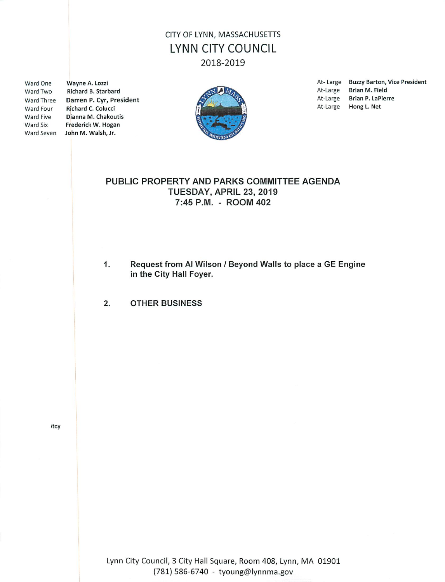# CITY OF LYNN, MASSACHUSETTS **LYNN CITY COUNCIL** 2018-2019

Ward One Ward Two Ward Four Ward Five Ward Six

Wayne A. Lozzi Richard B. Starbard Ward Three Darren P. Cyr, President Richard C. Colucci Dianna M. Chakoutis Frederick W. Hogan Ward Seven John M. Walsh, Jr.



At-Large Buzzy Barton, Vice President At-Large Brian M. Field At-Large Brian P. LaPierre At-Large Hong L. Net

## PUBLIC PROPERTY AND PARKS COMMITTEE AGENDA TUESDAY, APRIL 23, 2019 7:45 P.M. - ROOM 402

Request from Al Wilson / Beyond Walls to place a GE Engine 1. in the City Hall Foyer.

2. **OTHER BUSINESS** 

/tcy

Lynn City Council, 3 City Hall Square, Room 408, Lynn, MA 01901 (781) 586-6740 - tyoung@lynnma.gov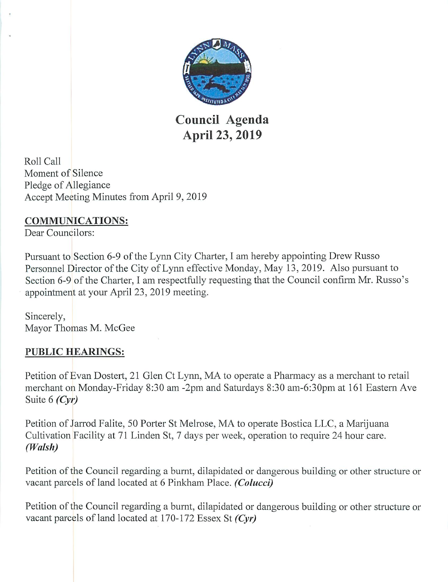

Council Agenda April 23, 2019

Roll Call Moment of Silence Pledge of Allegiance Accept Meeting Minutes from April 9, 2019

## **COMMUNICATIONS:**

Dear Councilors:

Pursuant to Section 6-9 of the Lynn City Charter, I am hereby appointing Drew Russo Personnel Director of the City of Lynn effective Monday, May 13, 2019. Also pursuant to Section 6-9 of the Charter, I am respectfully requesting that the Council confirm Mr. Russo's appointment at your April 23, 2019 meeting.

Sincerely, Mayor Thomas M. McGee

# **PUBLIC HEARINGS:**

Petition of Evan Dostert, 21 Glen Ct Lynn, MA to operate a Pharmacy as a merchant to retail merchant on Monday-Friday 8:30 am -2pm and Saturdays 8:30 am-6:30pm at 161 Eastern Ave Suite 6  $(Cyr)$ 

Petition of Jarrod Falite, 50 Porter St Melrose, MA to operate Bostica LLC, a Marijuana Cultivation Facility at 71 Linden St, 7 days per week, operation to require 24 hour care. (Walsh)

Petition of the Council regarding a burnt, dilapidated or dangerous building or other structure or vacant parcels of land located at 6 Pinkham Place. (Colucci)

Petition of the Council regarding a burnt, dilapidated or dangerous building or other structure or vacant parcels of land located at  $170-172$  Essex St (Cyr)